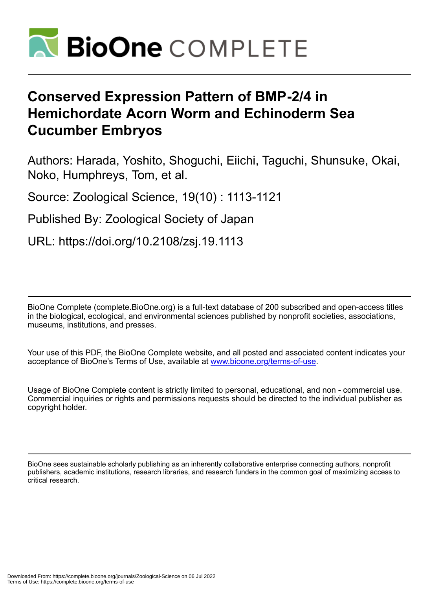

# **Conserved Expression Pattern of BMP-2/4 in Hemichordate Acorn Worm and Echinoderm Sea Cucumber Embryos**

Authors: Harada, Yoshito, Shoguchi, Eiichi, Taguchi, Shunsuke, Okai, Noko, Humphreys, Tom, et al.

Source: Zoological Science, 19(10) : 1113-1121

Published By: Zoological Society of Japan

URL: https://doi.org/10.2108/zsj.19.1113

BioOne Complete (complete.BioOne.org) is a full-text database of 200 subscribed and open-access titles in the biological, ecological, and environmental sciences published by nonprofit societies, associations, museums, institutions, and presses.

Your use of this PDF, the BioOne Complete website, and all posted and associated content indicates your acceptance of BioOne's Terms of Use, available at www.bioone.org/terms-of-use.

Usage of BioOne Complete content is strictly limited to personal, educational, and non - commercial use. Commercial inquiries or rights and permissions requests should be directed to the individual publisher as copyright holder.

BioOne sees sustainable scholarly publishing as an inherently collaborative enterprise connecting authors, nonprofit publishers, academic institutions, research libraries, and research funders in the common goal of maximizing access to critical research.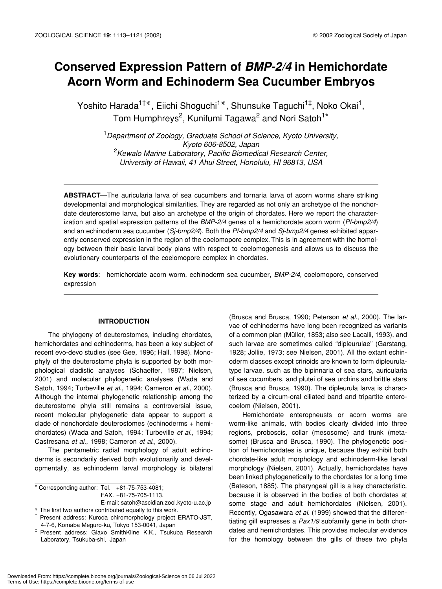## **Conserved Expression Pattern of** *BMP-2/4* **in Hemichordate Acorn Worm and Echinoderm Sea Cucumber Embryos**

Yoshito Harada<sup>1†</sup>, Eiichi Shoguchi<sup>1</sup>, Shunsuke Taguchi<sup>1‡</sup>, Noko Okai<sup>1</sup>, Tom Humphreys<sup>2</sup>, Kunifumi Tagawa<sup>2</sup> and Nori Satoh<sup>1\*</sup>

1 *Department of Zoology, Graduate School of Science, Kyoto University, Kyoto 606-8502, Japan* 2 *Kewalo Marine Laboratory, Pacific Biomedical Research Center, University of Hawaii, 41 Ahui Street, Honolulu, HI 96813, USA*

**ABSTRACT**—The auricularia larva of sea cucumbers and tornaria larva of acorn worms share striking developmental and morphological similarities. They are regarded as not only an archetype of the nonchordate deuterostome larva, but also an archetype of the origin of chordates. Here we report the characterization and spatial expression patterns of the *BMP-2/4* genes of a hemichordate acorn worm (*Pf-bmp2/4*) and an echinoderm sea cucumber (*Sj-bmp2/4*). Both the *Pf-bmp2/4* and *Sj-bmp2/4* genes exhibited apparently conserved expression in the region of the coelomopore complex. This is in agreement with the homology between their basic larval body plans with respect to coelomogenesis and allows us to discuss the evolutionary counterparts of the coelomopore complex in chordates.

**Key words**: hemichordate acorn worm, echinoderm sea cucumber, *BMP-2/4*, coelomopore, conserved expression

### **INTRODUCTION**

The phylogeny of deuterostomes, including chordates, hemichordates and echinoderms, has been a key subject of recent evo-devo studies (see Gee, 1996; Hall, 1998). Monophyly of the deuterostome phyla is supported by both morphological cladistic analyses (Schaeffer, 1987; Nielsen, 2001) and molecular phylogenetic analyses (Wada and Satoh, 1994; Turbeville *et al*., 1994; Cameron *et al*., 2000). Although the internal phylogenetic relationship among the deuterostome phyla still remains a controversial issue, recent molecular phylogenetic data appear to support a clade of nonchordate deuterostomes (echinoderms + hemichordates) (Wada and Satoh, 1994; Turbeville *et al*., 1994; Castresana *et al*., 1998; Cameron *et al*., 2000).

The pentametric radial morphology of adult echinoderms is secondarily derived both evolutionarily and developmentally, as echinoderm larval morphology is bilateral

\* Corresponding author: Tel. +81-75-753-4081; FAX. +81-75-705-1113.

E-mail: satoh@ascidian.zool.kyoto-u.ac.jp The first two authors contributed equally to this work.

† Present address: Kuroda chiromorphology project ERATO-JST, 4-7-6, Komaba Meguro-ku, Tokyo 153-0041, Japan

(Brusca and Brusca, 1990; Peterson *et al*., 2000). The larvae of echinoderms have long been recognized as variants of a common plan (Müller, 1853; also see Lacalli, 1993), and such larvae are sometimes called "dipleurulae" (Garstang, 1928; Jollie, 1973; see Nielsen, 2001). All the extant echinoderm classes except crinoids are known to form dipleurulatype larvae, such as the bipinnaria of sea stars, auricularia of sea cucumbers, and plutei of sea urchins and brittle stars (Brusca and Brusca, 1990). The dipleurula larva is characterized by a circum-oral ciliated band and tripartite enterocoelom (Nielsen, 2001).

Hemichordate enteropneusts or acorn worms are worm-like animals, with bodies clearly divided into three regions, proboscis, collar (mesosome) and trunk (metasome) (Brusca and Brusca, 1990). The phylogenetic position of hemichordates is unique, because they exhibit both chordate-like adult morphology and echinoderm-like larval morphology (Nielsen, 2001). Actually, hemichordates have been linked phylogenetically to the chordates for a long time (Bateson, 1885). The pharyngeal gill is a key characteristic, because it is observed in the bodies of both chordates at some stage and adult hemichordates (Nielsen, 2001). Recently, Ogasawara *et al.* (1999) showed that the differentiating gill expresses a *Pax1/9* subfamily gene in both chordates and hemichordates. This provides molecular evidence for the homology between the gills of these two phyla

<sup>‡</sup> Present address: Glaxo SmithKline K.K., Tsukuba Research Laboratory, Tsukuba-shi, Japan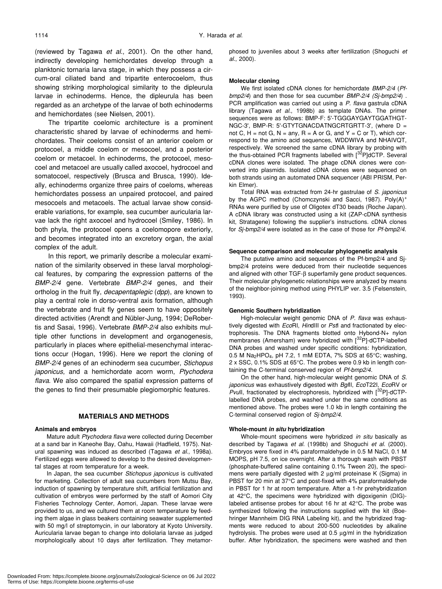(reviewed by Tagawa *et al*., 2001). On the other hand, indirectly developing hemichordates develop through a planktonic tornaria larva stage, in which they possess a circum-oral ciliated band and tripartite enterocoelom, thus showing striking morphological similarity to the dipleurula larvae in echinoderms. Hence, the dipleurula has been regarded as an archetype of the larvae of both echinoderms and hemichordates (see Nielsen, 2001).

The tripartite coelomic architecture is a prominent characteristic shared by larvae of echinoderms and hemichordates. Their coeloms consist of an anterior coelom or protocoel, a middle coelom or mesocoel, and a posterior coelom or metacoel. In echinoderms, the protocoel, mesocoel and metacoel are usually called axocoel, hydrocoel and somatocoel, respectively (Brusca and Brusca, 1990). Ideally, echinoderms organize three pairs of coeloms, whereas hemichordates possess an unpaired protocoel, and paired mesocoels and metacoels. The actual larvae show considerable variations, for example, sea cucumber auricularia larvae lack the right axocoel and hydrocoel (Smiley, 1986). In both phyla, the protocoel opens a coelomopore exteriorly, and becomes integrated into an excretory organ, the axial complex of the adult.

In this report, we primarily describe a molecular examination of the similarity observed in these larval morphological features, by comparing the expression patterns of the *BMP-2/4* gene. Vertebrate *BMP-2/4* genes, and their ortholog in the fruit fly, *decapentaplegic* (*dpp*), are known to play a central role in dorso-ventral axis formation, although the vertebrate and fruit fly genes seem to have oppositely directed activities (Arendt and Nübler-Jung, 1994; DeRobertis and Sasai, 1996). Vertebrate *BMP-2/4* also exhibits multiple other functions in development and organogenesis, particularly in places where epithelial-mesenchymal interactions occur (Hogan, 1996). Here we report the cloning of *BMP-2/4* genes of an echinoderm sea cucumber, *Stichopus japonicus*, and a hemichordate acorn worm, *Ptychodera flava*. We also compared the spatial expression patterns of the genes to find their presumable plegiomorphic features.

#### **MATERIALS AND METHODS**

#### **Animals and embryos**

Mature adult *Ptychodera flava* were collected during December at a sand bar in Kaneohe Bay, Oahu, Hawaii (Hadfield, 1975). Natural spawning was induced as described (Tagawa *et al*., 1998a). Fertilized eggs were allowed to develop to the desired developmental stages at room temperature for a week.

In Japan, the sea cucumber *Stichopus japonicus* is cultivated for marketing. Collection of adult sea cucumbers from Mutsu Bay, induction of spawning by temperature shift, artificial fertilization and cultivation of embryos were performed by the staff of Aomori City Fisheries Technology Center, Aomori, Japan. These larvae were provided to us, and we cultured them at room temperature by feeding them algae in glass beakers containing seawater supplemented with 50 mg/l of streptomycin, in our laboratory at Kyoto University. Auricularia larvae began to change into doliolaria larvae as judged morphologically about 10 days after fertilization. They metamorphosed to juveniles about 3 weeks after fertilization (Shoguchi *et al*., 2000).

#### **Molecular cloning**

We first isolated cDNA clones for hemichordate *BMP-2/4* (*Pfbmp2/4*) and then those for sea cucumber *BMP-2/4 (Sj-bmp2/4*) . PCR amplification was carried out using a *P. flava* gastrula cDNA library (Tagawa *et al.*, 1998b) as template DNAs. The primer sequences were as follows: BMP-F: 5'-TGGGAYGAYTGGATHGT-NGC-3', BMP-R: 5'-GTYTGNACDATNGCRTGRTT-3', (where D = not C,  $H = not G$ ,  $N = any$ ,  $R = A$  or G, and  $Y = C$  or T), which correspond to the amino acid sequences, WDDWIVA and NHAIVQT, respectively. We screened the same cDNA library by probing with the thus-obtained PCR fragments labelled with [32P]dCTP. Several cDNA clones were isolated. The phage cDNA clones were converted into plasmids. Isolated cDNA clones were sequenced on both strands using an automated DNA sequencer (ABI PRISM, Perkin Elmer).

Total RNA was extracted from 24-hr gastrulae of *S. japonicus* by the AGPC method (Chomczynski and Sacci, 1987). Poly(A)<sup>+</sup> RNAs were purified by use of Oligotex dT30 beads (Roche Japan). A cDNA library was constructed using a kit (ZAP-cDNA synthesis kit, Stratagene) following the supplier's instructions. cDNA clones for *Sj-bmp2/4* were isolated as in the case of those for *Pf-bmp2/4.*

#### **Sequence comparison and molecular phylogenetic analysis**

The putative amino acid sequences of the Pf-bmp2/4 and Sjbmp2/4 proteins were deduced from their nucleotide sequences and aligned with other TGF-β superfamily gene product sequences. Their molecular phylogenetic relationships were analyzed by means of the neighbor-joining method using PHYLIP ver. 3.5 (Felsenstein, 1993).

#### **Genomic Southern hybridization**

High-molecular weight genomic DNA of *P. flava* was exhaustively digested with *Eco*RI, *Hin*dIII or *Pst*I and fractionated by electrophoresis. The DNA fragments blotted onto Hybond-N+ nylon membranes (Amersham) were hybridized with  $[32P]$ -dCTP-labelled DNA probes and washed under specific conditions: hybridization, 0.5 M Na<sub>2</sub>HPO<sub>4</sub>, pH 7.2, 1 mM EDTA, 7% SDS at 65 $\degree$ C; washing, 2 x SSC, 0.1% SDS at 65°C. The probes were 0.9 kb in length containing the C-terminal conserved region of *Pf-bmp2/4.*

On the other hand, high-molecular weight genomic DNA of *S. japonicus* was exhaustively digested with *Bgl*II, *Eco*T22I, *Eco*RV or *Pvull*, fractionated by electrophoresis, hybridized with [32P]-dCTPlabelled DNA probes, and washed under the same conditions as mentioned above. The probes were 1.0 kb in length containing the C-terminal conserved region of *Sj-bmp2/4.*

#### **Whole-mount** *in situ* **hybridization**

Whole-mount specimens were hybridized *in situ* basically as described by Tagawa *et al*. (1998b) and Shoguchi *et al*. (2000). Embryos were fixed in 4% paraformaldehyde in 0.5 M NaCl, 0.1 M MOPS, pH 7.5, on ice overnight. After a thorough wash with PBST (phosphate-buffered saline containing 0.1% Tween 20), the specimens were partially digested with 2 µg/ml proteinase K (Sigma) in PBST for 20 min at 37°C and post-fixed with 4% paraformaldehyde in PBST for 1 hr at room temperature. After a 1-hr prehybridization at 42°C, the specimens were hybridized with digoxigenin (DIG) labeled antisense probes for about 16 hr at 42°C. The probe was synthesized following the instructions supplied with the kit (Boehringer Mannheim DIG RNA Labeling kit), and the hybridized fragments were reduced to about 200-500 nucleotides by alkaline hydrolysis. The probes were used at 0.5 µg/ml in the hybridization buffer. After hybridization, the specimens were washed and then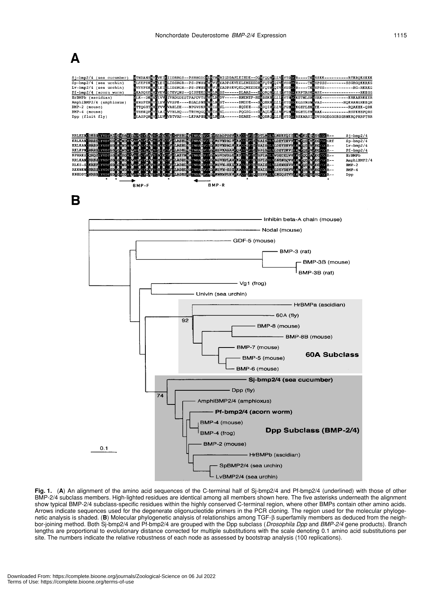## A

| Sj-bmp2/4 (sea cucumber)<br>Sp-bmp2/4 (sea urchin)<br>Lv-bmp2/4 (sea urchin) | WTNDANSWYEVEILIIDRRGS--PSRHGDDHLETRRRIGDDASLEIHDE--DQWFQQRELLVHYTDDCR----TKRSSKK---------RTKRQKSKKK<br>LEEPEKNHELETELIDSRGR--PS-PNHH <sup>R</sup> VIRVIREADPSKVEELENEEEDROPOTRHQIVIYSD <b>OC</b> R----TKRSPSSS--------SSGRGQKKRKG<br>/EVPEKNH <mark>G</mark> LEIELIDSRGR--PS-PNHH <mark>IVR</mark> VIREADPSKVQELQNEEDER <mark>G</mark> FQTR <mark>FQIVIYSDDC</mark> R----TK <mark>R</mark> SPSS--------<br>-RG-RKRKG |  |  |  |
|------------------------------------------------------------------------------|----------------------------------------------------------------------------------------------------------------------------------------------------------------------------------------------------------------------------------------------------------------------------------------------------------------------------------------------------------------------------------------------------------------------|--|--|--|
| Pf-bmp2/4 (acorn worm)                                                       | XAVEERING EELEVINDE---OLSPHKDHVELRES------DLAAS---BRORORELLINTDIGKRPTRSKRNSE---------                                                                                                                                                                                                                                                                                                                                |  |  |  |
| HrBMPb (ascidian)<br>AmphiBMP2/4 (amphioxus)                                 | <b>WEK--DKNECLVVIIVRDGDESTPAPDVTSBVKLRKDV------RNENEP-RENEEKRELLLEVTHOCKETNLSRKSRK----------</b><br>--KRKAHRKKER                                                                                                                                                                                                                                                                                                     |  |  |  |
| BMP-2 (mouse)<br>$BMP-4$ (mouse)                                             | TREKOPNYELA IZVTHLHO---TRTHOGOHVE ISRSL------POGSG---MAOLRELLVHFGHDCRGHTLTRKRAK------------RSPKHHPORS                                                                                                                                                                                                                                                                                                                |  |  |  |
| Dpp (fluit fly)                                                              | WLASPORNYCLLVEVRTVRS---LKPAPHHIVRLRESA------DEAHE---RVQHKQLLLFIVTDDCRHKARSIRDVSGGEGGGKGGRNKRQPRRPTRR                                                                                                                                                                                                                                                                                                                 |  |  |  |
|                                                                              |                                                                                                                                                                                                                                                                                                                                                                                                                      |  |  |  |
|                                                                              | RRLKER SKHELYVDIAN KVESVILAPECYSAYYCE ECPYRIBHHNNTNRAHVOTHVHSADPSSVIKACCYPTELDWAHLYLNERKROFILAK YKENHVKSCGGR--<br>Sj-bmp2/4                                                                                                                                                                                                                                                                                          |  |  |  |
| <b>BREPLYVDE</b><br><b>KRLKAN</b>                                            | ABIII MA'NUMOTIV VISYADA AVE GʻOʻPTELEM SALIT YIDI YA SALIT<br>$Sp-hmp2/4$<br><b>ISCGRT</b>                                                                                                                                                                                                                                                                                                                          |  |  |  |
| <b>KRLKANGRRHELVVDFSDV</b><br>RKLKPNCRRRSLYVIDESENGENDE EVALEUTE             | ABITING I'NILAS VOTI VIS VABALVP<br>ELEKSKIL YETA GOKU LKKY<br>$Lv-bmp2/4$<br>KUR--<br>ADRENSTNILLTVO TEVESVAASAVPOAG VPTSI SPESILLYLDBYDKVELIKA OBINVEG<br>$Pf - bmp2/4$                                                                                                                                                                                                                                            |  |  |  |
| KPRRKS QRQDLYVDISDV<br><b>RRLKANCRRESINVDISD</b>                             | <b>WORN IVAR</b><br><b>LASTEN TNHABVOTNAGEWESENFASCO</b><br><b>PIELSPIAH AVOECELVVIKTYGOI</b><br><b>HrBMPb</b><br>EGYEA<br>šУ¢<br><b>TNHALLVOTIZVALEMSPIZANT</b><br>a Divin<br>EI SEA SHI YEAREN AWALKEY<br>AmphiBMP2/4<br>ŠАI<br>LADHIN<br>'GC                                                                                                                                                                      |  |  |  |
| <b>RREIGLYVDFSILVE</b><br>RLKS-S<br><b>BRISLYVDISEV</b><br><b>RKKNKN</b>     | rwadyo <b>By လေးဒေအတြီး လိုင်းပြီးသင်</b> ။ W <b>ooper လို</b> င်းရှိ တိုးကြီး<br>erwy<br>ADBE<br>$BMP-2$<br>360<br>TNHADVOTHVIEVN-SSEPRZCO<br>XIX W<br>173113 N                                                                                                                                                                                                                                                     |  |  |  |
| KNHDDTCRRHSI YVDFSEVCW                                                       | <b>THE BATSIL YLDBYDXVVI KNYOB</b><br>$BMP-4$<br>LEADERNS TNIALVOTE VEREREGRUPS COVPTCLUS VALUABLES TAL KRY<br>CGC<br>Dpp                                                                                                                                                                                                                                                                                            |  |  |  |
|                                                                              | BMP-F<br>BMP-R                                                                                                                                                                                                                                                                                                                                                                                                       |  |  |  |
| В                                                                            |                                                                                                                                                                                                                                                                                                                                                                                                                      |  |  |  |
|                                                                              |                                                                                                                                                                                                                                                                                                                                                                                                                      |  |  |  |
|                                                                              | - Inhibin beta-A chain (mouse)                                                                                                                                                                                                                                                                                                                                                                                       |  |  |  |
|                                                                              | - Nodal (mouse)                                                                                                                                                                                                                                                                                                                                                                                                      |  |  |  |
|                                                                              | - GDF-5 (mouse)                                                                                                                                                                                                                                                                                                                                                                                                      |  |  |  |
|                                                                              | · BMP-3 (rat)                                                                                                                                                                                                                                                                                                                                                                                                        |  |  |  |
|                                                                              | BMP-3B (mouse)                                                                                                                                                                                                                                                                                                                                                                                                       |  |  |  |
|                                                                              |                                                                                                                                                                                                                                                                                                                                                                                                                      |  |  |  |
|                                                                              | BMP-3B (rat)                                                                                                                                                                                                                                                                                                                                                                                                         |  |  |  |
|                                                                              | – Vg1 (frog)                                                                                                                                                                                                                                                                                                                                                                                                         |  |  |  |
|                                                                              | Univin (sea urchin)                                                                                                                                                                                                                                                                                                                                                                                                  |  |  |  |
|                                                                              | · HrBMPa (ascidian)                                                                                                                                                                                                                                                                                                                                                                                                  |  |  |  |
|                                                                              | – 60A (fly)                                                                                                                                                                                                                                                                                                                                                                                                          |  |  |  |
|                                                                              | 92<br>BMP-8 (mouse)                                                                                                                                                                                                                                                                                                                                                                                                  |  |  |  |
|                                                                              |                                                                                                                                                                                                                                                                                                                                                                                                                      |  |  |  |
|                                                                              | - BMP-8B (mouse)                                                                                                                                                                                                                                                                                                                                                                                                     |  |  |  |
|                                                                              | BMP-7 (mouse)                                                                                                                                                                                                                                                                                                                                                                                                        |  |  |  |
|                                                                              | 60A Subclass<br>BMP-5 (mouse)                                                                                                                                                                                                                                                                                                                                                                                        |  |  |  |
|                                                                              | BMP-6 (mouse)                                                                                                                                                                                                                                                                                                                                                                                                        |  |  |  |
|                                                                              | Sj-bmp2/4 (sea cucumber)                                                                                                                                                                                                                                                                                                                                                                                             |  |  |  |
|                                                                              | - Dpp (fly)                                                                                                                                                                                                                                                                                                                                                                                                          |  |  |  |
|                                                                              | 74<br>AmphiBMP2/4 (amphioxus)                                                                                                                                                                                                                                                                                                                                                                                        |  |  |  |
|                                                                              | Pf-bmp2/4 (acorn worm)                                                                                                                                                                                                                                                                                                                                                                                               |  |  |  |
|                                                                              | BMP-4 (mouse)                                                                                                                                                                                                                                                                                                                                                                                                        |  |  |  |
|                                                                              | <b>Dpp Subclass (BMP-2/4)</b><br>BMP-4 (frog)                                                                                                                                                                                                                                                                                                                                                                        |  |  |  |
| 0.1                                                                          | BMP-2 (mouse)                                                                                                                                                                                                                                                                                                                                                                                                        |  |  |  |
|                                                                              | HrBMPb (ascidian)                                                                                                                                                                                                                                                                                                                                                                                                    |  |  |  |
|                                                                              |                                                                                                                                                                                                                                                                                                                                                                                                                      |  |  |  |
|                                                                              | SpBMP2/4 (sea urchin)                                                                                                                                                                                                                                                                                                                                                                                                |  |  |  |

**Fig. 1.** (**A**) An alignment of the amino acid sequences of the C-terminal half of Sj-bmp2/4 and Pf-bmp2/4 (underlined) with those of other BMP-2/4 subclass members. High-lighted residues are identical among all members shown here. The five asterisks underneath the alignment show typical BMP-2/4 subclass-specific residues within the highly conserved C-terminal region, where other BMPs contain other amino acids. Arrows indicate sequences used for the degenerate oligonucleotide primers in the PCR cloning. The region used for the molecular phylogenetic analysis is shaded. (**B**) Molecular phylogenetic analysis of relationships among TGF-β superfamily members as deduced from the neighbor-joining method. Both Sj-bmp2/4 and Pf-bmp2/4 are grouped with the Dpp subclass (*Drosophila Dpp* and *BMP-2/4* gene products). Branch lengths are proportional to evolutionary distance corrected for multiple substitutions with the scale denoting 0.1 amino acid substitutions per site. The numbers indicate the relative robustness of each node as assessed by bootstrap analysis (100 replications).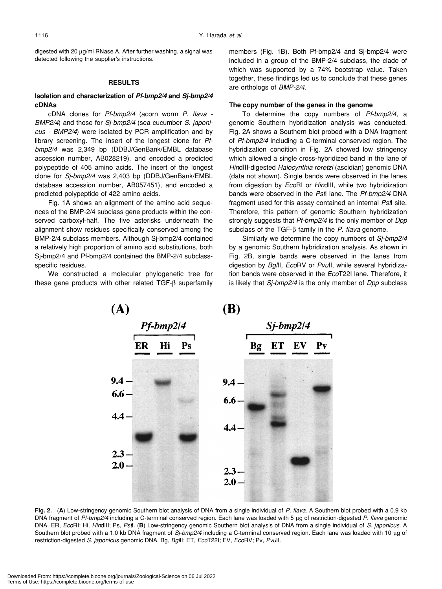digested with 20  $\mu$ g/ml RNase A. After further washing, a signal was detected following the supplier's instructions.

#### **RESULTS**

## **Isolation and characterization of** *Pf-bmp2/4* **and** *Sj-bmp2/4* **cDNAs**

cDNA clones for *Pf-bmp2/4* (acorn worm *P. flava - BMP2/4*) and those for *Sj-bmp2/4* (sea cucumber *S. japonicus - BMP2/4*) were isolated by PCR amplification and by library screening. The insert of the longest clone for *Pfbmp2/4* was 2,349 bp (DDBJ/GenBank/EMBL database accession number, AB028219), and encoded a predicted polypeptide of 405 amino acids. The insert of the longest clone for *Sj-bmp2/4* was 2,403 bp (DDBJ/GenBank/EMBL database accession number, AB057451), and encoded a predicted polypeptide of 422 amino acids.

Fig. 1A shows an alignment of the amino acid sequences of the BMP-2/4 subclass gene products within the conserved carboxyl-half. The five asterisks underneath the alignment show residues specifically conserved among the BMP-2/4 subclass members. Although Sj-bmp2/4 contained a relatively high proportion of amino acid substitutions, both Sj-bmp2/4 and Pf-bmp2/4 contained the BMP-2/4 subclassspecific residues.

We constructed a molecular phylogenetic tree for these gene products with other related TGF-β superfamily members (Fig. 1B). Both Pf-bmp2/4 and Sj-bmp2/4 were included in a group of the BMP-2/4 subclass, the clade of which was supported by a 74% bootstrap value. Taken together, these findings led us to conclude that these genes are orthologs of *BMP-2/4*.

### **The copy number of the genes in the genome**

To determine the copy numbers of *Pf-bmp2/4*, a genomic Southern hybridization analysis was conducted. Fig. 2A shows a Southern blot probed with a DNA fragment of *Pf-bmp2/4* including a C-terminal conserved region. The hybridization condition in Fig. 2A showed low stringency which allowed a single cross-hybridized band in the lane of *Hin*dIII-digested *Halocynthia roretzi* (ascidian) genomic DNA (data not shown). Single bands were observed in the lanes from digestion by *Eco*RI or *Hin*dIII, while two hybridization bands were observed in the *Pst*I lane. The *Pf-bmp2/4* DNA fragment used for this assay contained an internal *Pst*I site. Therefore, this pattern of genomic Southern hybridization strongly suggests that *Pf-bmp2/4* is the only member of *Dpp* subclass of the TGF-β family in the *P. flava* genome.

Similarly we determine the copy numbers of *Sj-bmp2/4* by a genomic Southern hybridization analysis. As shown in Fig. 2B, single bands were observed in the lanes from digestion by *Bgl*II, *Eco*RV or *Pvu*II, while several hybridization bands were observed in the *Eco*T22I lane. Therefore, it is likely that *Sj-bmp2/4* is the only member of *Dpp* subclass



**Fig. 2.** (**A**) Low-stringency genomic Southern blot analysis of DNA from a single individual of *P. flava*. A Southern blot probed with a 0.9 kb DNA fragment of *Pf-bmp2/4* including a C-terminal conserved region. Each lane was loaded with 5 µg of restriction-digested *P. flava* genomic DNA. ER, *Eco*RI; Hi, *Hin*dIII; Ps, *Pst*I. (**B**) Low-stringency genomic Southern blot analysis of DNA from a single individual of *S. japonicus*. A Southern blot probed with a 1.0 kb DNA fragment of *Sj-bmp2/4* including a C-terminal conserved region. Each lane was loaded with 10 µg of restriction-digested *S. japonicus* genomic DNA. Bg, *Bgl*II; ET, *Eco*T22I; EV, *Eco*RV; Pv, *Pvu*II.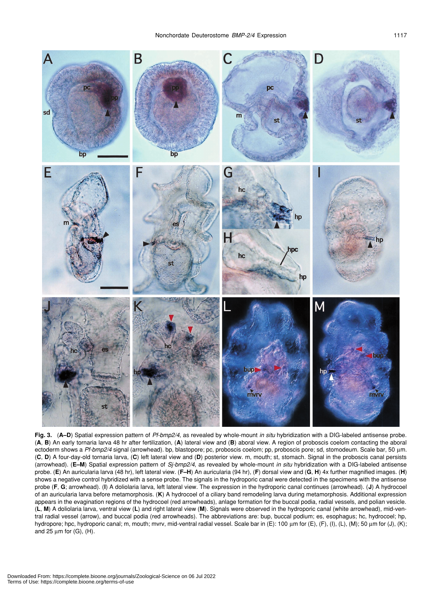

**Fig. 3.** (**A–D**) Spatial expression pattern of *Pf-bmp2/4*, as revealed by whole-mount *in situ* hybridization with a DIG-labeled antisense probe. (**A**, **B**) An early tornaria larva 48 hr after fertilization, (**A**) lateral view and (**B**) aboral view. A region of proboscis coelom contacting the aboral ectoderm shows a *Pf-bmp2/4* signal (arrowhead). bp, blastopore; pc, proboscis coelom; pp, proboscis pore; sd, stomodeum. Scale bar, 50 µm. (**C**, **D**) A four-day-old tornaria larva, (**C**) left lateral view and (**D**) posterior view. m, mouth; st, stomach. Signal in the proboscis canal persists (arrowhead). (**E–M**) Spatial expression pattern of *Sj-bmp2/4*, as revealed by whole-mount *in situ* hybridization with a DIG-labeled antisense probe. (**E**) An auricularia larva (48 hr), left lateral view. (**F–H**) An auricularia (94 hr), (**F**) dorsal view and (**G**, **H**) 4x further magnified images. (**H**) shows a negative control hybridized with a sense probe. The signals in the hydroporic canal were detected in the specimens with the antisense probe (**F**, **G**; arrowhead). (**I**) A doliolaria larva, left lateral view. The expression in the hydroporic canal continues (arrowhead). (**J**) A hydrocoel of an auricularia larva before metamorphosis. (**K**) A hydrocoel of a ciliary band remodeling larva during metamorphosis. Additional expression appears in the evagination regions of the hydrocoel (red arrowheads), anlage formation for the buccal podia, radial vessels, and polian vesicle. (**L**, **M**) A doliolaria larva, ventral view (**L**) and right lateral view (**M**). Signals were observed in the hydroporic canal (white arrowhead), mid-ventral radial vessel (arrow), and buccal podia (red arrowheads). The abbreviations are: bup, buccal podium; es, esophagus; hc, hydrocoel; hp, hydropore; hpc, hydroporic canal; m, mouth; mvrv, mid-ventral radial vessel. Scale bar in (E): 100 µm for (E), (F), (I), (K), (M); 50 µm for (J), (K); and 25  $\mu$ m for (G), (H).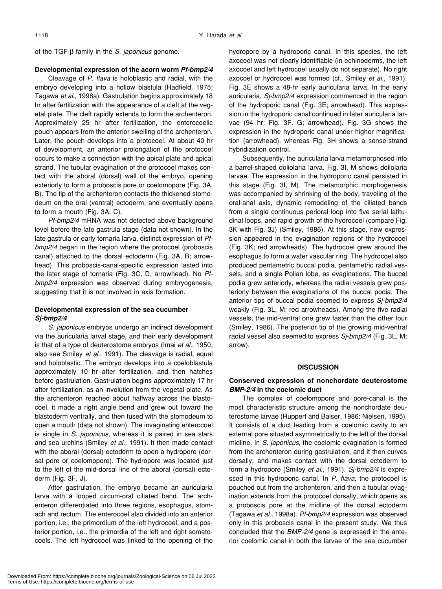of the TGF-β family in the *S. japonicus* genome.

## **Developmental expression of the acorn worm** *Pf-bmp2/4*

Cleavage of *P. flava* is holoblastic and radial, with the embryo developing into a hollow blastula (Hadfield, 1975; Tagawa *et al*., 1998a). Gastrulation begins approximately 18 hr after fertilization with the appearance of a cleft at the vegetal plate. The cleft rapidly extends to form the archenteron. Approximately 25 hr after fertilization, the enterocoelic pouch appears from the anterior swelling of the archenteron. Later, the pouch develops into a protocoel. At about 40 hr of development, an anterior prolongation of the protocoel occurs to make a connection with the apical plate and apical strand. The tubular evagination of the protocoel makes contact with the aboral (dorsal) wall of the embryo, opening exteriorly to form a proboscis pore or coelomopore (Fig. 3A, B). The tip of the archenteron contacts the thickened stomodeum on the oral (ventral) ectoderm, and eventually opens to form a mouth (Fig. 3A, C).

*Pf-bmp2/4* mRNA was not detected above background level before the late gastrula stage (data not shown). In the late gastrula or early tornaria larva, distinct expression of *Pfbmp2/4* began in the region where the protocoel (proboscis canal) attached to the dorsal ectoderm (Fig. 3A, B; arrowhead). This proboscis-canal-specific expression lasted into the later stage of tornaria (Fig. 3C, D; arrowhead). No *Pfbmp2/4* expression was observed during embryogenesis, suggesting that it is not involved in axis formation.

## **Developmental expression of the sea cucumber** *Sj-bmp2/4*

*S. japonicus* embryos undergo an indirect development via the auricularia larval stage, and their early development is that of a type of deuterostome embryos (Imai *et al*., 1950; also see Smiley *et al*., 1991). The cleavage is radial, equal and holoblastic. The embryo develops into a coeloblastula approximately 10 hr after fertilization, and then hatches before gastrulation. Gastrulation begins approximately 17 hr after fertilization, as an involution from the vegetal plate. As the archenteron reached about halfway across the blastocoel, it made a right angle bend and grew out toward the blastoderm ventrally, and then fused with the stomodeum to open a mouth (data not shown). The invaginating enterocoel is single in *S. japonicus*, whereas it is paired in sea stars and sea urchins (Smiley *et al*., 1991). It then made contact with the aboral (dorsal) ectoderm to open a hydropore (dorsal pore or coelomopore). The hydropore was located just to the left of the mid-dorsal line of the aboral (dorsal) ectoderm (Fig. 3F, J).

After gastrulation, the embryo became an auricularia larva with a looped circum-oral ciliated band. The archenteron differentiated into three regions, esophagus, stomach and rectum. The enterocoel also divided into an anterior portion, i.e., the primordium of the left hydrocoel, and a posterior portion, i.e., the primordia of the left and right somatocoels. The left hydrocoel was linked to the opening of the hydropore by a hydroporic canal. In this species, the left axocoel was not clearly identifiable (in echinoderms, the left axocoel and left hydrocoel usually do not separate). No right axocoel or hydrocoel was formed (cf., Smiley *et al*., 1991). Fig. 3E shows a 48-hr early auricularia larva. In the early auricularia, *Sj-bmp2/4* expression commenced in the region of the hydroporic canal (Fig. 3E; arrowhead). This expression in the hydroporic canal continued in later auricularia larvae (94 hr; Fig. 3F, G; arrowhead). Fig. 3G shows the expression in the hydroporic canal under higher magnification (arrowhead), whereas Fig. 3H shows a sense-strand hybridization control.

Subsequently, the auricularia larva metamorphosed into a barrel-shaped doliolaria larva. Fig. 3I, M shows doliolaria larvae. The expression in the hydroporic canal persisted in this stage (Fig. 3I, M). The metamorphic morphogenesis was accompanied by shrinking of the body, traveling of the oral-anal axis, dynamic remodeling of the ciliated bands from a single continuous perioral loop into five serial latitudinal loops, and rapid growth of the hydrocoel (compare Fig. 3K with Fig. 3J) (Smiley, 1986). At this stage, new expression appeared in the evagination regions of the hydrocoel (Fig. 3K; red arrowheads). The hydrocoel grew around the esophagus to form a water vascular ring. The hydrocoel also produced pentametric buccal podia, pentametric radial vessels, and a single Polian lobe, as evaginations. The buccal podia grew anteriorly, whereas the radial vessels grew posteriorly between the evaginations of the buccal podia. The anterior tips of buccal podia seemed to express *Sj-bmp2/4* weakly (Fig. 3L, M; red arrowheads). Among the five radial vessels, the mid-ventral one grew faster than the other four (Smiley, 1986). The posterior tip of the growing mid-ventral radial vessel also seemed to express *Sj-bmp2/4* (Fig. 3L, M; arrow).

## **DISCUSSION**

## **Conserved expression of nonchordate deuterostome** *BMP-2/4* **in the coelomic duct**

The complex of coelomopore and pore-canal is the most characteristic structure among the nonchordate deuterostome larvae (Ruppert and Balser, 1986; Nielsen, 1995). It consists of a duct leading from a coelomic cavity to an external pore situated asymmetrically to the left of the dorsal midline. In *S. japonicus*, the coelomic evagination is formed from the archenteron during gastrulation, and it then curves dorsally, and makes contact with the dorsal ectoderm to form a hydropore (Smiley *et al*., 1991). *Sj-bmp2/4* is expressed in this hydroporic canal. In *P. flava*, the protocoel is pouched out from the archenteron, and then a tubular evagination extends from the protocoel dorsally, which opens as a proboscis pore at the midline of the dorsal ectoderm (Tagawa *et al*., 1998a). *Pf-bmp2/4* expression was observed only in this proboscis canal in the present study. We thus concluded that the *BMP-2/4* gene is expressed in the anterior coelomic canal in both the larvae of the sea cucumber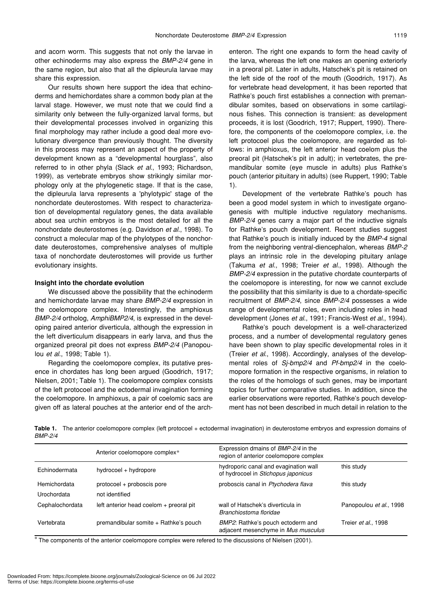and acorn worm. This suggests that not only the larvae in other echinoderms may also express the *BMP-2/4* gene in the same region, but also that all the dipleurula larvae may share this expression.

Our results shown here support the idea that echinoderms and hemichordates share a common body plan at the larval stage. However, we must note that we could find a similarity only between the fully-organized larval forms, but their developmental processes involved in organizing this final morphology may rather include a good deal more evolutionary divergence than previously thought. The diversity in this process may represent an aspect of the property of development known as a "developmental hourglass", also referred to in other phyla (Slack *et al*., 1993; Richardson, 1999), as vertebrate embryos show strikingly similar morphology only at the phylogenetic stage. If that is the case, the dipleurula larva represents a 'phylotypic' stage of the nonchordate deuterostomes. With respect to characterization of developmental regulatory genes, the data available about sea urchin embryos is the most detailed for all the nonchordate deuterostomes (e.g. Davidson *et al*., 1998). To construct a molecular map of the phylotypes of the nonchordate deuterostomes, comprehensive analyses of multiple taxa of nonchordate deuterostomes will provide us further evolutionary insights.

## **Insight into the chordate evolution**

We discussed above the possibility that the echinoderm and hemichordate larvae may share *BMP-2/4* expression in the coelomopore complex. Interestingly, the amphioxus *BMP-2/4* ortholog, *AmphiBMP2/4*, is expressed in the developing paired anterior diverticula, although the expression in the left diverticulum disappears in early larva, and thus the organized preoral pit does not express *BMP-2/4* (Panopoulou *et al*., 1998; Table 1).

Regarding the coelomopore complex, its putative presence in chordates has long been argued (Goodrich, 1917; Nielsen, 2001; Table 1). The coelomopore complex consists of the left protocoel and the ectodermal invagination forming the coelomopore. In amphioxus, a pair of coelomic sacs are given off as lateral pouches at the anterior end of the archenteron. The right one expands to form the head cavity of the larva, whereas the left one makes an opening exteriorly in a preoral pit. Later in adults, Hatschek's pit is retained on the left side of the roof of the mouth (Goodrich, 1917). As for vertebrate head development, it has been reported that Rathke's pouch first establishes a connection with premandibular somites, based on observations in some cartilaginous fishes. This connection is transient: as development proceeds, it is lost (Goodrich, 1917; Ruppert, 1990). Therefore, the components of the coelomopore complex, i.e. the left protocoel plus the coelomopore, are regarded as follows: in amphioxus, the left anterior head coelom plus the preoral pit (Hatschek's pit in adult); in vertebrates, the premandibular somite (eye muscle in adults) plus Rathke's pouch (anterior pituitary in adults) (see Ruppert, 1990; Table 1).

Development of the vertebrate Rathke's pouch has been a good model system in which to investigate organogenesis with multiple inductive regulatory mechanisms. *BMP-2/4* genes carry a major part of the inductive signals for Rathke's pouch development. Recent studies suggest that Rathke's pouch is initially induced by the *BMP-4* signal from the neighboring ventral-diencephalon, whereas *BMP-2* plays an intrinsic role in the developing pituitary anlage (Takuma *et al*., 1998; Treier *et al*., 1998). Although the *BMP-2/4* expression in the putative chordate counterparts of the coelomopore is interesting, for now we cannot exclude the possibility that this similarity is due to a chordate-specific recruitment of *BMP-2/4*, since *BMP-2/4* possesses a wide range of developmental roles, even including roles in head development (Jones *et al*., 1991; Francis-West *et al*., 1994).

Rathke's pouch development is a well-characterized process, and a number of developmental regulatory genes have been shown to play specific developmental roles in it (Treier *et al*., 1998). Accordingly, analyses of the developmental roles of *Sj-bmp2/4* and *Pf-bmp2/4* in the coelomopore formation in the respective organisms, in relation to the roles of the homologs of such genes, may be important topics for further comparative studies. In addition, since the earlier observations were reported, Rathke's pouch development has not been described in much detail in relation to the

Table 1. The anterior coelomopore complex (left protocoel + ectodermal invagination) in deuterostome embryos and expression domains of *BMP-2/4*

|                 | Anterior coelomopore complex*           | Expression dmains of BMP-2/4 in the<br>region of anterior coelomopore complex |                         |
|-----------------|-----------------------------------------|-------------------------------------------------------------------------------|-------------------------|
| Echinodermata   | hydrocoel + hydropore                   | hydroporic canal and evagination wall<br>of hydrocoel in Stichopus japonicus  | this study              |
| Hemichordata    | protocoel + proboscis pore              | proboscis canal in Ptychodera flava                                           | this study              |
| Urochordata     | not identified                          |                                                                               |                         |
| Cephalochordata | left anterior head coelom + preoral pit | wall of Hatschek's diverticula in<br>Branchiostoma floridae                   | Panopoulou et al., 1998 |
| Vertebrata      | premandibular somite + Rathke's pouch   | BMP2: Rathke's pouch ectoderm and<br>adjacent mesenchyme in Mus musculus      | Treier et al., 1998     |

\* The components of the anterior coelomopore complex were refered to the discussions of Nielsen (2001).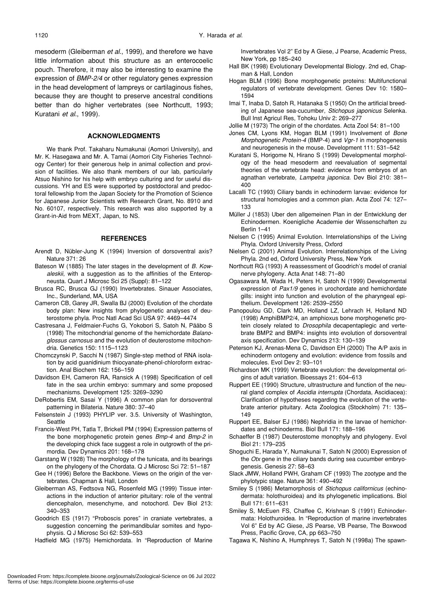mesoderm (Gleiberman *et al*., 1999), and therefore we have little information about this structure as an enterocoelic pouch. Therefore, it may also be interesting to examine the expression of *BMP-2/4* or other regulatory genes expression in the head development of lampreys or cartilaginous fishes, because they are thought to preserve ancestral conditions better than do higher vertebrates (see Northcutt, 1993; Kuratani *et al*., 1999).

#### **ACKNOWLEDGMENTS**

We thank Prof. Takaharu Numakunai (Aomori University), and Mr. K. Hasegawa and Mr. A. Tamai (Aomori City Fisheries Technology Center) for their generous help in animal collection and provision of facilities. We also thank members of our lab, particularly Atsuo Nishino for his help with embryo culturing and for useful discussions. YH and ES were supported by postdoctoral and predoctoral fellowship from the Japan Society for the Promotion of Science for Japanese Junior Scientists with Research Grant, No. 8910 and No. 60107, respectively. This research was also supported by a Grant-in-Aid from MEXT, Japan, to NS.

#### **REFERENCES**

- Arendt D, Nübler-Jung K (1994) Inversion of dorsoventral axis? Nature 371: 26
- Bateson W (1885) The later stages in the development of *B. Kowaleskii*, with a suggestion as to the affinities of the Enteropneusta. Quart J Microsc Sci 25 (Suppl): 81–122
- Brusca RC, Brusca GJ (1990) Invertebrates. Sinauer Associates, Inc., Sunderland, MA, USA
- Cameron CB, Garey JR, Swalla BJ (2000) Evolution of the chordate body plan: New insights from phylogenetic analyses of deuterostome phyla. Proc Natl Acad Sci USA 97: 4469–4474
- Castresana J, Feldmaier-Fuchs G, Yokobori S, Satoh N, Pääbo S (1998) The mitochondrial genome of the hemichordate *Balanoglossus carnosus* and the evolution of deuterostome mitochondria. Genetics 150: 1115–1123
- Chomczynski P, Sacchi N (1987) Single-step method of RNA isolation by acid guanidinium thiocyanate-phenol-chloroform extraction. Anal Biochem 162: 156–159
- Davidson EH, Cameron RA, Ransick A (1998) Specification of cell fate in the sea urchin embryo: summary and some proposed mechanisms. Development 125: 3269–3290
- DeRobertis EM, Sasai Y (1996) A common plan for dorsoventral patterning in Bilateria. Nature 380: 37–40
- Felsenstein J (1993) PHYLIP ver. 3.5. University of Washington, Seattle
- Francis-West PH, Tatla T, Brickell PM (1994) Expression patterns of the bone morphogenetic protein genes *Bmp-4* and *Bmp-2* in the developing chick face suggest a role in outgrowth of the primordia. Dev Dynamics 201: 168–178
- Garstang W (1928) The morphology of the tunicata, and its bearings on the phylogeny of the Chordata. Q J Microsc Sci 72: 51–187
- Gee H (1996) Before the Backbone. Views on the origin of the vertebrates. Chapman & Hall, London
- Gleiberman AS, Fedtsova NG, Rosenfeld MG (1999) Tissue interactions in the induction of anterior pituitary: role of the ventral diencephalon, mesenchyme, and notochord. Dev Biol 213: 340–353
- Goodrich ES (1917) "Proboscis pores" in craniate vertebrates, a suggestion concerning the perimandibular somites and hypophysis. Q J Microsc Sci 62: 539–553
- Hadfield MG (1975) Hemichordata. In "Reproduction of Marine

Invertebrates Vol 2" Ed by A Giese, J Pearse, Academic Press, New York, pp 185–240

- Hall BK (1998) Evolutionary Developmental Biology. 2nd ed, Chapman & Hall, London
- Hogan BLM (1996) Bone morphogenetic proteins: Multifunctional regulators of vertebrate development. Genes Dev 10: 1580– 1594
- Imai T, Inaba D, Satoh R, Hatanaka S (1950) On the artificial breeding of Japanese sea-cucumber, *Stichopus japonicus* Selenka. Bull Inst Agricul Res, Tohoku Univ 2: 269–277

Jollie M (1973) The origin of the chordates. Acta Zool 54: 81–100

- Jones CM, Lyons KM, Hogan BLM (1991) Involvement of *Bone Morphogenetic Protein-4* (BMP-4) and *Vgr-1* in morphogenesis and neurogenesis in the mouse. Development 111: 531–542
- Kuratani S, Horigome N, Hirano S (1999) Developmental morphology of the head mesoderm and reevaluation of segmental theories of the vertebrate head: evidence from embryos of an agnathan vertebrate, *Lampetra japonica*. Dev Biol 210: 381– 400
- Lacalli TC (1993) Ciliary bands in echinoderm larvae: evidence for structural homologies and a common plan. Acta Zool 74: 127– 133
- Müller J (1853) Uber den allgemeinen Plan in der Entwicklung der Echinodermen. Koenigliche Academie der Wissenschaften zu Berlin 1–41
- Nielsen C (1995) Animal Evolution. Interrelationships of the Living Phyla. Oxford University Press, Oxford
- Nielsen C (2001) Animal Evolution. Interrelationships of the Living Phyla. 2nd ed, Oxford University Press, New York
- Northcutt RG (1993) A reassessment of Goodrich's model of cranial nerve phylogeny. Acta Anat 148: 71–80
- Ogasawara M, Wada H, Peters H, Satoh N (1999) Developmental expression of *Pax1/9* genes in urochordate and hemichordate gills: insight into function and evolution of the pharyngeal epithelium. Development 126: 2539–2550
- Panopoulou GD, Clark MD, Holland LZ, Lehrach H, Holland ND (1998) AmphiBMP2/4, an amphioxus bone morphogenetic protein closely related to *Drosophila* decapentaplegic and vertebrate BMP2 and BMP4: insights into evolution of dorsoventral axis specification. Dev Dynamics 213: 130–139
- Peterson KJ, Arenas-Mena C, Davidson EH (2000) The A/P axis in echinoderm ontogeny and evolution: evidence from fossils and molecules. Evol Dev 2: 93–101
- Richardson MK (1999) Vertebrate evolution: the developmental origins of adult variation. Bioessays 21: 604–613
- Ruppert EE (1990) Structure, ultrastructure and function of the neural gland complex of *Ascidia interrupta* (Chordata, Ascidiacea): Clarification of hypotheses regarding the evolution of the vertebrate anterior pituitary. Acta Zoologica (Stockholm) 71: 135– 149
- Ruppert EE, Balser EJ (1986) Nephridia in the larvae of hemichordates and echinoderms. Biol Bull 171: 188–196
- Schaeffer B (1987) Deuterostome monophyly and phylogeny. Evol Biol 21: 179–235
- Shoguchi E, Harada Y, Numakunai T, Satoh N (2000) Expression of the *Otx* gene in the ciliary bands during sea cucumber embryogenesis. Genesis 27: 58–63
- Slack JMW, Holland PWH, Graham CF (1993) The zootype and the phylotypic stage. Nature 361: 490–492
- Smiley S (1986) Metamorphosis of *Stichopus californicus* (echinodermata: holothuroidea) and its phylogenetic implications. Biol Bull 171: 611–631
- Smiley S, McEuen FS, Chaffee C, Krishnan S (1991) Echinodermata: Holothuroidea. In "Reproduction of marine invertebrates Vol 6" Ed by AC Giese, JS Pearse, VB Pearse, The Boxwood Press, Pacific Grove, CA, pp 663–750
- Tagawa K, Nishino A, Humphreys T, Satoh N (1998a) The spawn-